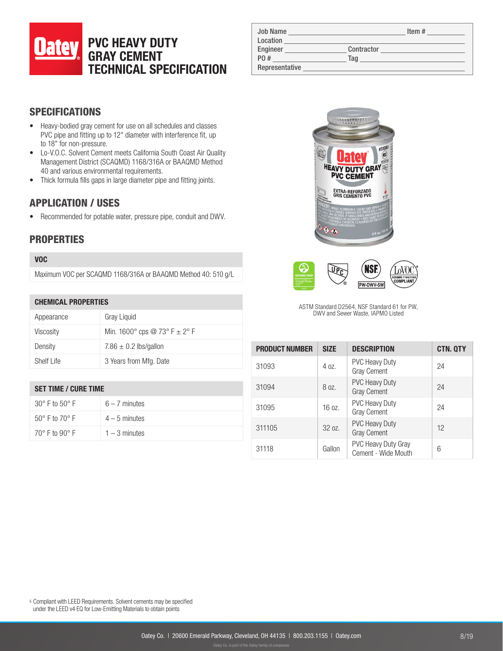# PVC HEAVY DUTY GRAY CEMENT TECHNICAL SPECIFICATION

| <b>Job Name</b> |            | Item# |
|-----------------|------------|-------|
| Location        |            |       |
| Engineer        | Contractor |       |
| P0 #            | Taq        |       |
| Representative  |            |       |

## **SPECIFICATIONS**

- Heavy-bodied gray cement for use on all schedules and classes PVC pipe and fitting up to 12" diameter with interference fit, up to 18" for non-pressure.
- Lo-V.O.C. Solvent Cement meets California South Coast Air Quality Management District (SCAQMD) 1168/316A or BAAQMD Method 40 and various environmental requirements.
- Thick formula fills gaps in large diameter pipe and fitting joints.

## APPLICATION / USES

• Recommended for potable water, pressure pipe, conduit and DWV.

### PROPERTIES

#### VOC

Maximum VOC per SCAQMD 1168/316A or BAAQMD Method 40: 510 g/L

#### CHEMICAL PROPERTIES

| Appearance | Gray Liquid                                                     |
|------------|-----------------------------------------------------------------|
| Viscosity  | Min. 1600 $^{\circ}$ cps @ 73 $^{\circ}$ F $\pm$ 2 $^{\circ}$ F |
| Density    | 7.86 $\pm$ 0.2 lbs/gallon                                       |
| Shelf Life | 3 Years from Mfg. Date                                          |

#### SET TIME / CURE TIME

| 30 $^{\circ}$ F to 50 $^{\circ}$ F | $6 - 7$ minutes |
|------------------------------------|-----------------|
| $50^\circ$ F to 70° F              | $4-5$ minutes   |
| 70 $^{\circ}$ F to 90 $^{\circ}$ F | $1 - 3$ minutes |





ASTM Standard D2564, NSF Standard 61 for PW, DWV and Sewer Waste, IAPMO Listed

| <b>PRODUCT NUMBER</b> | <b>SIZE</b> | <b>DESCRIPTION</b>                                | <b>CTN. QTY</b> |
|-----------------------|-------------|---------------------------------------------------|-----------------|
| 31093                 | 4.07.       | <b>PVC Heavy Duty</b><br><b>Gray Cement</b>       | 24              |
| 31094                 | 8 oz.       | <b>PVC Heavy Duty</b><br><b>Gray Cement</b>       | 24              |
| 31095                 | 1607.       | <b>PVC Heavy Duty</b><br><b>Gray Cement</b>       | 24              |
| 311105                | $320Z$ .    | <b>PVC Heavy Duty</b><br><b>Gray Cement</b>       | 12              |
| 31118                 | Gallon      | <b>PVC Heavy Duty Gray</b><br>Cement - Wide Mouth | 6               |

§ Compliant with LEED Requirements. Solvent cements may be specified under the LEED v4 EQ for Low-Emitting Materials to obtain points